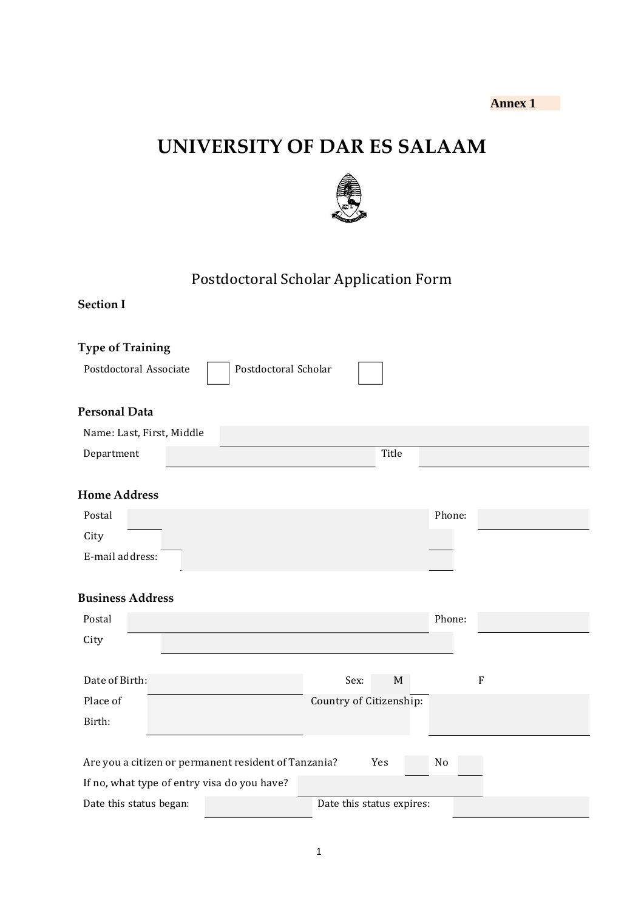# **UNIVERSITY OF DAR ES SALAAM**



# Postdoctoral Scholar Application Form

| <b>Type of Training</b>                              |                      |                           |        |             |
|------------------------------------------------------|----------------------|---------------------------|--------|-------------|
| Postdoctoral Associate                               | Postdoctoral Scholar |                           |        |             |
| <b>Personal Data</b>                                 |                      |                           |        |             |
| Name: Last, First, Middle                            |                      |                           |        |             |
| Department                                           |                      | Title                     |        |             |
| <b>Home Address</b>                                  |                      |                           |        |             |
| Postal                                               |                      |                           | Phone: |             |
| City                                                 |                      |                           |        |             |
| E-mail address:                                      |                      |                           |        |             |
| <b>Business Address</b>                              |                      |                           |        |             |
| Postal                                               |                      |                           | Phone: |             |
| City                                                 |                      |                           |        |             |
| Date of Birth:                                       |                      | Sex:<br>$\mathbf M$       |        | $\mathbf F$ |
| Place of                                             |                      | Country of Citizenship:   |        |             |
| Birth:                                               |                      |                           |        |             |
|                                                      |                      |                           |        |             |
| Are you a citizen or permanent resident of Tanzania? |                      | Yes                       | No     |             |
| If no, what type of entry visa do you have?          |                      |                           |        |             |
| Date this status began:                              |                      | Date this status expires: |        |             |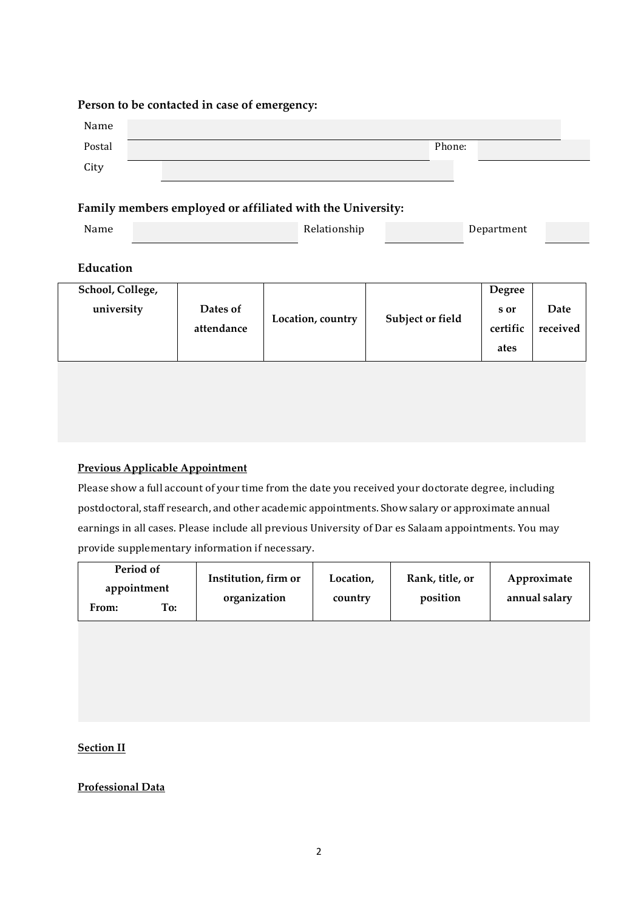#### **Person to be contacted in case of emergency:**

| Name   |  |  |  |        |  |  |
|--------|--|--|--|--------|--|--|
| Postal |  |  |  | Phone: |  |  |
| City   |  |  |  |        |  |  |

### **Family members employed or affiliated with the University:**

| Name | Relationship | Department |  |
|------|--------------|------------|--|

### **Education**

| School, College, |            |                   |                  | <b>Degree</b> |          |
|------------------|------------|-------------------|------------------|---------------|----------|
| university       | Dates of   |                   |                  | s or          | Date     |
|                  | attendance | Location, country | Subject or field | certific      | received |
|                  |            |                   |                  | ates          |          |
|                  |            |                   |                  |               |          |

### **Previous Applicable Appointment**

Please show a full account of your time from the date you received your doctorate degree, including postdoctoral, staff research, and other academic appointments. Show salary or approximate annual earnings in all cases. Please include all previous University of Dar es Salaam appointments. You may provide supplementary information if necessary.

| Period of    |     | Institution, firm or | Location, | Rank, title, or | Approximate   |  |
|--------------|-----|----------------------|-----------|-----------------|---------------|--|
| appointment  |     | organization         | country   | position        | annual salary |  |
| <b>From:</b> | To: |                      |           |                 |               |  |

**Section II**

**Professional Data**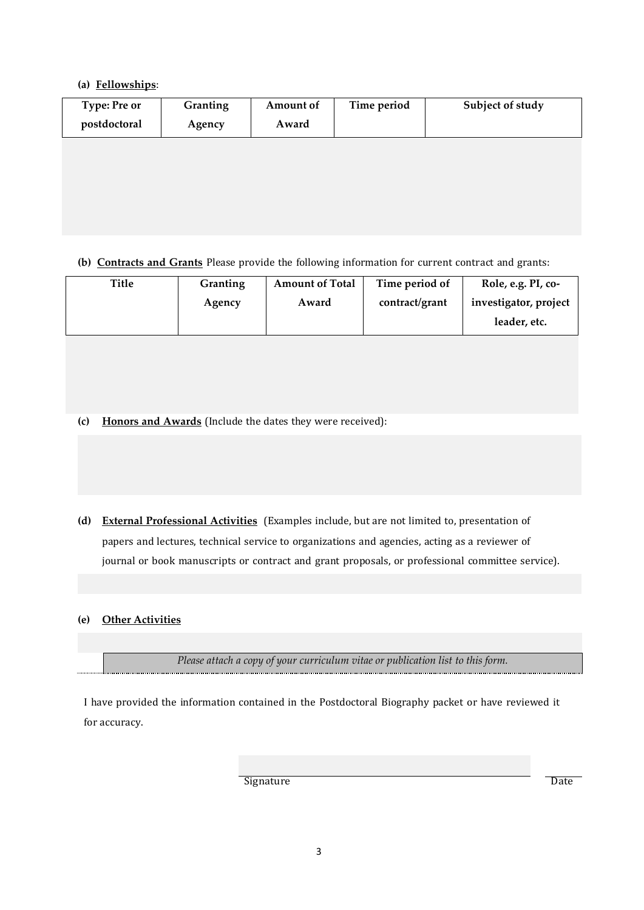#### **(a) Fellowships**:

| <b>Type: Pre or</b><br>postdoctoral | Granting<br>Agency | Amount of<br>Award | Time period | Subject of study |
|-------------------------------------|--------------------|--------------------|-------------|------------------|
|                                     |                    |                    |             |                  |
|                                     |                    |                    |             |                  |

#### **(b) Contracts and Grants** Please provide the following information for current contract and grants:

| Title | Granting | <b>Amount of Total</b> | Time period of | Role, e.g. PI, co-    |
|-------|----------|------------------------|----------------|-----------------------|
|       | Agency   | Award                  | contract/grant | investigator, project |
|       |          |                        |                | leader, etc.          |

**(c) Honors and Awards** (Include the dates they were received):

**(d) External Professional Activities** (Examples include, but are not limited to, presentation of papers and lectures, technical service to organizations and agencies, acting as a reviewer of journal or book manuscripts or contract and grant proposals, or professional committee service).

#### **(e) Other Activities**

*Please attach a copy of your curriculum vitae or publication list to this form.*

I have provided the information contained in the Postdoctoral Biography packet or have reviewed it for accuracy.

Signature Date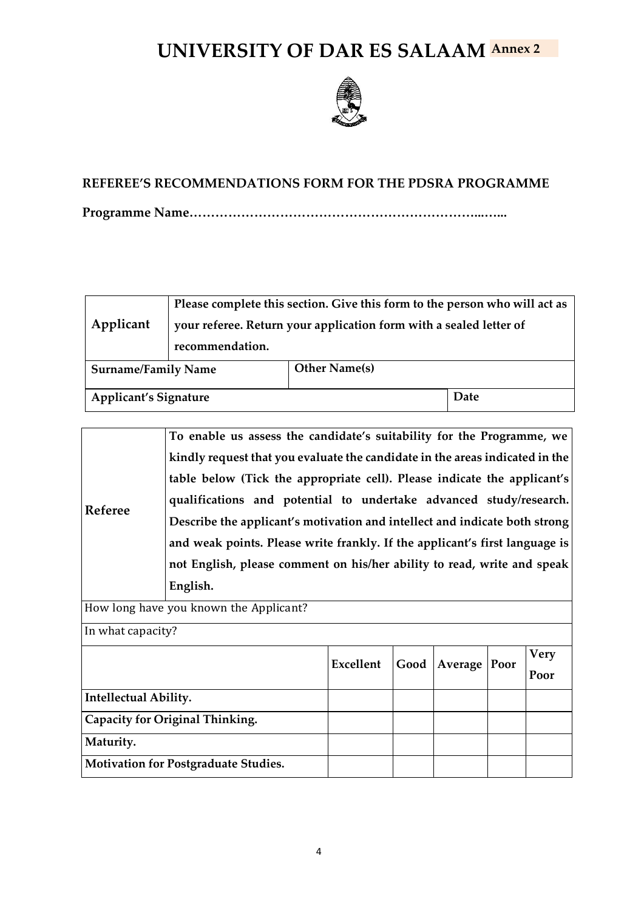# **UNIVERSITY OF DAR ES SALAAM Annex 2**



## **REFEREE'S RECOMMENDATIONS FORM FOR THE PDSRA PROGRAMME**

**Programme Name…………………………………………………………...…...**

| Applicant                    | recommendation. | Please complete this section. Give this form to the person who will act as<br>your referee. Return your application form with a sealed letter of |      |  |
|------------------------------|-----------------|--------------------------------------------------------------------------------------------------------------------------------------------------|------|--|
| <b>Surname/Family Name</b>   |                 | <b>Other Name(s)</b>                                                                                                                             |      |  |
| <b>Applicant's Signature</b> |                 |                                                                                                                                                  | Date |  |

|                                 | To enable us assess the candidate's suitability for the Programme, we        |      |                |  |  |             |  |  |  |
|---------------------------------|------------------------------------------------------------------------------|------|----------------|--|--|-------------|--|--|--|
|                                 | kindly request that you evaluate the candidate in the areas indicated in the |      |                |  |  |             |  |  |  |
|                                 | table below (Tick the appropriate cell). Please indicate the applicant's     |      |                |  |  |             |  |  |  |
|                                 | qualifications and potential to undertake advanced study/research.           |      |                |  |  |             |  |  |  |
| Referee                         | Describe the applicant's motivation and intellect and indicate both strong   |      |                |  |  |             |  |  |  |
|                                 | and weak points. Please write frankly. If the applicant's first language is  |      |                |  |  |             |  |  |  |
|                                 | not English, please comment on his/her ability to read, write and speak      |      |                |  |  |             |  |  |  |
|                                 | English.                                                                     |      |                |  |  |             |  |  |  |
|                                 | How long have you known the Applicant?                                       |      |                |  |  |             |  |  |  |
| In what capacity?               |                                                                              |      |                |  |  |             |  |  |  |
|                                 |                                                                              |      |                |  |  | <b>Very</b> |  |  |  |
|                                 |                                                                              |      |                |  |  | Poor        |  |  |  |
| Intellectual Ability.           |                                                                              |      |                |  |  |             |  |  |  |
| Capacity for Original Thinking. |                                                                              |      |                |  |  |             |  |  |  |
| Maturity.                       |                                                                              |      |                |  |  |             |  |  |  |
|                                 | <b>Motivation for Postgraduate Studies.</b>                                  |      |                |  |  |             |  |  |  |
|                                 | Excellent                                                                    | Good | Average   Poor |  |  |             |  |  |  |